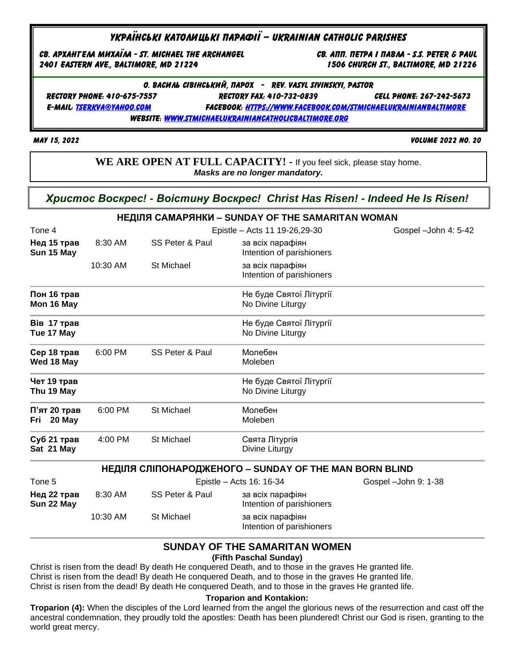# Українські католицькі парафії – Ukrainian catholic parishes

Св. Архангела Михаїла - St. Michael the archangel св. Апп. Петра і павла - s.s. peter & paul 2401 eastern ave., Baltimore, md 21224 1506 church st., Baltimore, md 21226

О. Василь сівінський, парох - rev. vasyl sivinskyi, pastor Rectory Phone: 410-675-7557 rectory fax: 410-732-0839 cell phone: 267-242-5673

e-mail: [tserkva@yahoo.com](mailto:tserkva@yahoo.com) Facebook: [https://www.facebook.com/stmichaelukrainianbaltimore](https://www.facebook.com/stmichaelukrainianbaltimore/) website: [www.stmichaelukrainiancatholicbaltimore.org](http://www.stmichaelukrainiancatholicbaltimore.org/)

May 15, 2022 Volume 2022 no. 20

**WE ARE OPEN AT FULL CAPACITY! -** If you feel sick, please stay home. *Masks are no longer mandatory.*

*Христос Воскрес! - Воістину Воскрес! Christ Has Risen! - Indeed He Is Risen!*

|                               |                                |                 | НЕДІЛЯ САМАРЯНКИ – SUNDAY OF THE SAMARITAN WOMAN       |                       |
|-------------------------------|--------------------------------|-----------------|--------------------------------------------------------|-----------------------|
| Tone 4                        | Epistle - Acts 11 19-26, 29-30 |                 |                                                        | Gospel - John 4: 5-42 |
| Нед 15 трав<br>Sun 15 May     | 8:30 AM                        | SS Peter & Paul | за всіх парафіян<br>Intention of parishioners          |                       |
|                               | 10:30 AM                       | St Michael      | за всіх парафіян<br>Intention of parishioners          |                       |
| Пон 16 трав<br>Mon 16 May     |                                |                 | Не буде Святої Літургії<br>No Divine Liturgy           |                       |
| Вів 17 трав<br>Tue 17 May     |                                |                 | Не буде Святої Літургії<br>No Divine Liturgy           |                       |
| Сер 18 трав<br>Wed 18 May     | 6:00 PM                        | SS Peter & Paul | Молебен<br>Moleben                                     |                       |
| Чет 19 трав<br>Thu 19 May     |                                |                 | Не буде Святої Літургії<br>No Divine Liturgy           |                       |
| П'ят 20 трав<br>20 May<br>Fri | 6:00 PM                        | St Michael      | Молебен<br>Moleben                                     |                       |
| Суб 21 трав<br>Sat 21 May     | 4:00 PM                        | St Michael      | Свята Літургія<br>Divine Liturgy                       |                       |
|                               |                                |                 | НЕДІЛЯ СЛІПОНАРОДЖЕНОГО – SUNDAY OF THE MAN BORN BLIND |                       |
| Tone 5                        |                                |                 | Epistle - Acts 16: 16-34                               | Gospel - John 9: 1-38 |
| Нед 22 трав<br>Sun 22 May     | 8:30 AM                        | SS Peter & Paul | за всіх парафіян<br>Intention of parishioners          |                       |
|                               | 10:30 AM                       | St Michael      | за всіх парафіян<br>Intention of parishioners          |                       |

## **SUNDAY OF THE SAMARITAN WOMEN (Fifth Paschal Sunday)**

Christ is risen from the dead! By death He conquered Death, and to those in the graves He granted life. Christ is risen from the dead! By death He conquered Death, and to those in the graves He granted life. Christ is risen from the dead! By death He conquered Death, and to those in the graves He granted life.

#### **Troparion and Kontakion:**

**Troparion (4):** When the disciples of the Lord learned from the angel the glorious news of the resurrection and cast off the ancestral condemnation, they proudly told the apostles: Death has been plundered! Christ our God is risen, granting to the world great mercy.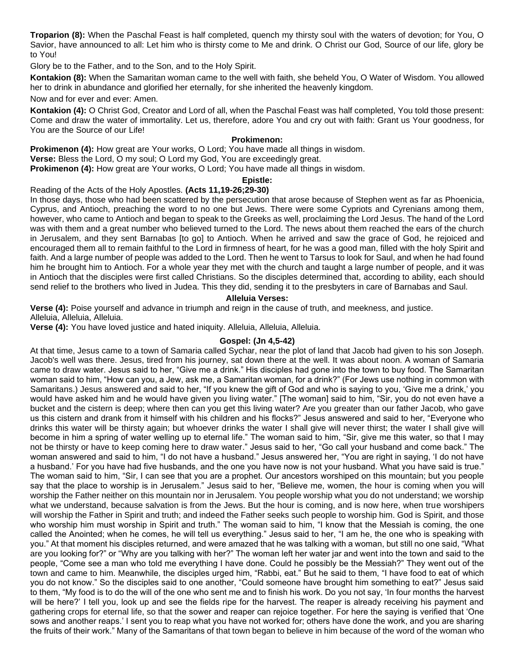**Troparion (8):** When the Paschal Feast is half completed, quench my thirsty soul with the waters of devotion; for You, O Savior, have announced to all: Let him who is thirsty come to Me and drink. O Christ our God, Source of our life, glory be to You!

Glory be to the Father, and to the Son, and to the Holy Spirit.

**Kontakion (8):** When the Samaritan woman came to the well with faith, she beheld You, O Water of Wisdom. You allowed her to drink in abundance and glorified her eternally, for she inherited the heavenly kingdom.

Now and for ever and ever: Amen.

**Kontakion (4):** O Christ God, Creator and Lord of all, when the Paschal Feast was half completed, You told those present: Come and draw the water of immortality. Let us, therefore, adore You and cry out with faith: Grant us Your goodness, for You are the Source of our Life!

### **Prokimenon:**

**Prokimenon (4):** How great are Your works, O Lord; You have made all things in wisdom.

**Verse:** Bless the Lord, O my soul; O Lord my God, You are exceedingly great.

**Prokimenon (4):** How great are Your works, O Lord; You have made all things in wisdom.

#### **Epistle:**

## Reading of the Acts of the Holy Apostles. **(Acts 11,19-26;29-30)**

In those days, those who had been scattered by the persecution that arose because of Stephen went as far as Phoenicia, Cyprus, and Antioch, preaching the word to no one but Jews. There were some Cypriots and Cyrenians among them, however, who came to Antioch and began to speak to the Greeks as well, proclaiming the Lord Jesus. The hand of the Lord was with them and a great number who believed turned to the Lord. The news about them reached the ears of the church in Jerusalem, and they sent Barnabas [to go] to Antioch. When he arrived and saw the grace of God, he rejoiced and encouraged them all to remain faithful to the Lord in firmness of heart, for he was a good man, filled with the holy Spirit and faith. And a large number of people was added to the Lord. Then he went to Tarsus to look for Saul, and when he had found him he brought him to Antioch. For a whole year they met with the church and taught a large number of people, and it was in Antioch that the disciples were first called Christians. So the disciples determined that, according to ability, each should send relief to the brothers who lived in Judea. This they did, sending it to the presbyters in care of Barnabas and Saul.

#### **Alleluia Verses:**

**Verse (4):** Poise yourself and advance in triumph and reign in the cause of truth, and meekness, and justice. Alleluia, Alleluia, Alleluia.

**Verse (4):** You have loved justice and hated iniquity. Alleluia, Alleluia, Alleluia.

### **Gospel: (Jn 4,5-42)**

At that time, Jesus came to a town of Samaria called Sychar, near the plot of land that Jacob had given to his son Joseph. Jacob's well was there. Jesus, tired from his journey, sat down there at the well. It was about noon. A woman of Samaria came to draw water. Jesus said to her, "Give me a drink." His disciples had gone into the town to buy food. The Samaritan woman said to him, "How can you, a Jew, ask me, a Samaritan woman, for a drink?" (For Jews use nothing in common with Samaritans.) Jesus answered and said to her, "If you knew the gift of God and who is saying to you, 'Give me a drink,' you would have asked him and he would have given you living water." [The woman] said to him, "Sir, you do not even have a bucket and the cistern is deep; where then can you get this living water? Are you greater than our father Jacob, who gave us this cistern and drank from it himself with his children and his flocks?" Jesus answered and said to her, "Everyone who drinks this water will be thirsty again; but whoever drinks the water I shall give will never thirst; the water I shall give will become in him a spring of water welling up to eternal life." The woman said to him, "Sir, give me this water, so that I may not be thirsty or have to keep coming here to draw water." Jesus said to her, "Go call your husband and come back." The woman answered and said to him, "I do not have a husband." Jesus answered her, "You are right in saying, 'I do not have a husband.' For you have had five husbands, and the one you have now is not your husband. What you have said is true." The woman said to him, "Sir, I can see that you are a prophet. Our ancestors worshiped on this mountain; but you people say that the place to worship is in Jerusalem." Jesus said to her, "Believe me, women, the hour is coming when you will worship the Father neither on this mountain nor in Jerusalem. You people worship what you do not understand; we worship what we understand, because salvation is from the Jews. But the hour is coming, and is now here, when true worshipers will worship the Father in Spirit and truth; and indeed the Father seeks such people to worship him. God is Spirit, and those who worship him must worship in Spirit and truth." The woman said to him, "I know that the Messiah is coming, the one called the Anointed; when he comes, he will tell us everything." Jesus said to her, "I am he, the one who is speaking with you." At that moment his disciples returned, and were amazed that he was talking with a woman, but still no one said, "What are you looking for?" or "Why are you talking with her?" The woman left her water jar and went into the town and said to the people, "Come see a man who told me everything I have done. Could he possibly be the Messiah?" They went out of the town and came to him. Meanwhile, the disciples urged him, "Rabbi, eat." But he said to them, "I have food to eat of which you do not know." So the disciples said to one another, "Could someone have brought him something to eat?" Jesus said to them, "My food is to do the will of the one who sent me and to finish his work. Do you not say, 'In four months the harvest will be here?' I tell you, look up and see the fields ripe for the harvest. The reaper is already receiving his payment and gathering crops for eternal life, so that the sower and reaper can rejoice together. For here the saying is verified that 'One sows and another reaps.' I sent you to reap what you have not worked for; others have done the work, and you are sharing the fruits of their work." Many of the Samaritans of that town began to believe in him because of the word of the woman who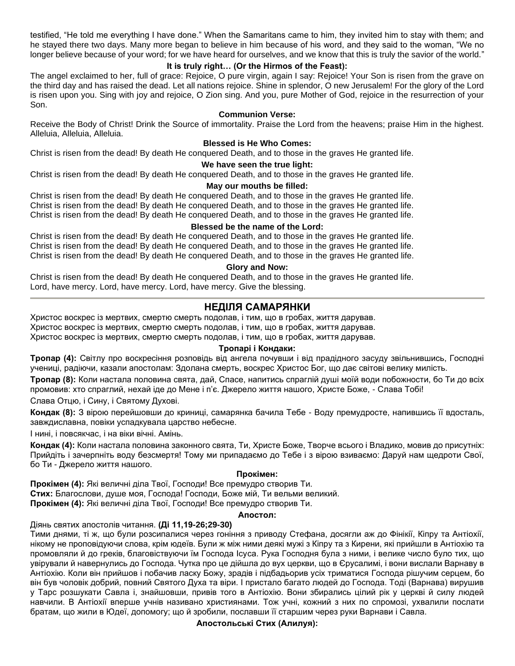testified, "He told me everything I have done." When the Samaritans came to him, they invited him to stay with them; and he stayed there two days. Many more began to believe in him because of his word, and they said to the woman, "We no longer believe because of your word; for we have heard for ourselves, and we know that this is truly the savior of the world."

# **It is truly right… (Or the Hirmos of the Feast):**

The angel exclaimed to her, full of grace: Rejoice, O pure virgin, again I say: Rejoice! Your Son is risen from the grave on the third day and has raised the dead. Let all nations rejoice. Shine in splendor, O new Jerusalem! For the glory of the Lord is risen upon you. Sing with joy and rejoice, O Zion sing. And you, pure Mother of God, rejoice in the resurrection of your Son.

#### **Communion Verse:**

Receive the Body of Christ! Drink the Source of immortality. Praise the Lord from the heavens; praise Him in the highest. Alleluia, Alleluia, Alleluia.

### **Blessed is He Who Comes:**

Christ is risen from the dead! By death He conquered Death, and to those in the graves He granted life.

#### **We have seen the true light:**

Christ is risen from the dead! By death He conquered Death, and to those in the graves He granted life.

#### **May our mouths be filled:**

Christ is risen from the dead! By death He conquered Death, and to those in the graves He granted life. Christ is risen from the dead! By death He conquered Death, and to those in the graves He granted life. Christ is risen from the dead! By death He conquered Death, and to those in the graves He granted life.

### **Blessed be the name of the Lord:**

Christ is risen from the dead! By death He conquered Death, and to those in the graves He granted life. Christ is risen from the dead! By death He conquered Death, and to those in the graves He granted life. Christ is risen from the dead! By death He conquered Death, and to those in the graves He granted life.

#### **Glory and Now:**

Christ is risen from the dead! By death He conquered Death, and to those in the graves He granted life. Lord, have mercy. Lord, have mercy. Lord, have mercy. Give the blessing.

# **НЕДІЛЯ САМАРЯНКИ**

Христос воскрес із мертвих, смертю смерть подолав, і тим, що в гробах, життя дарував. Христос воскрес із мертвих, смертю смерть подолав, і тим, що в гробах, життя дарував.

Христос воскрес із мертвих, смертю смерть подолав, і тим, що в гробах, життя дарував.

### **Тропарі і Кондаки:**

**Тропар (4):** Світлу про воскресіння розповідь від ангела почувши і від прадідного засуду звільнившись, Господні учениці, радіючи, казали апостолам: Здолана смерть, воскрес Христос Бог, що дає світові велику милість.

**Тропар (8):** Коли настала половина свята, дай, Спасе, напитись спраглій душі моїй води побожности, бо Ти до всіх промовив: хто спраглий, нехай іде до Мене і п'є. Джерело життя нашого, Христе Боже, - Слава Тобі!

Слава Отцю, і Сину, і Святому Духові.

**Кондак (8):** З вірою перейшовши до криниці, самарянка бачила Тебе - Воду премудросте, напившись її вдосталь, завждиславна, повіки успадкувала царство небесне.

І нині, і повсякчас, і на віки вічні. Амінь.

**Кондак (4):** Коли настала половина законного свята, Ти, Христе Боже, Творче всього і Владико, мовив до присутніх: Прийдіть і зачерпніть воду безсмертя! Тому ми припадаємо до Тебе і з вірою взиваємо: Даруй нам щедроти Свої, бо Ти - Джерело життя нашого.

### **Прокімен:**

**Прокімен (4):** Які величні діла Твої, Господи! Все премудро створив Ти. **Стих:** Благослови, душе моя, Господа! Господи, Боже мій, Ти вельми великий. **Прокімен (4):** Які величні діла Твої, Господи! Все премудро створив Ти.

#### **Апостол:**

Діянь святих апостолів читання. **(Ді 11,19-26;29-30)**

Тими днями, ті ж, що були розсипалися через гоніння з приводу Стефана, досягли аж до Фінікії, Кіпру та Антіохії, нікому не проповідуючи слова, крім юдеїв. Були ж між ними деякі мужі з Кіпру та з Кирени, які прийшли в Антіохію та промовляли й до греків, благовіствуючи їм Господа Ісуса. Рука Господня була з ними, і велике число було тих, що увірували й навернулись до Господа. Чутка про це дійшла до вух церкви, що в Єрусалимі, і вони вислали Варнаву в Антіохію. Коли він прийшов і побачив ласку Божу, зрадів і підбадьорив усіх триматися Господа рішучим серцем, бо він був чоловік добрий, повний Святого Духа та віри. І пристало багато людей до Господа. Тоді (Варнава) вирушив у Тарс розшукати Савла і, знайшовши, привів того в Антіохію. Вони збирались цілий рік у церкві й силу людей навчили. В Антіохії вперше учнів називано християнами. Тож учні, кожний з них по спромозі, ухвалили послати братам, що жили в Юдеї, допомогу; що й зробили, пославши її старшим через руки Варнави і Савла.

#### **Апостольські Стих (Алилуя):**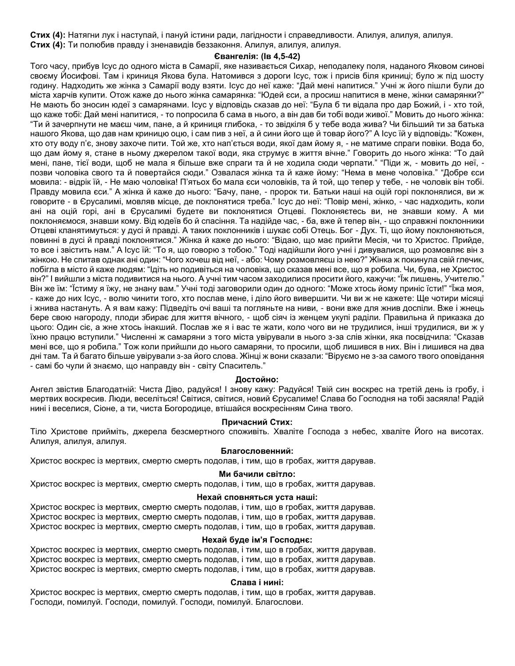**Стих (4):** Натягни лук і наступай, і пануй істини ради, лагідности і справедливости. Алилуя, алилуя, алилуя. **Стих (4):** Ти полюбив правду і зненавидів беззаконня. Алилуя, алилуя, алилуя.

#### **Євангелія: (Ів 4,5-42)**

Того часу, прибув Ісус до одного міста в Самарії, яке називається Сихар, неподалеку поля, наданого Яковом синові своєму Йосифові. Там і криниця Якова була. Натомився з дороги Ісус, тож і присів біля криниці; було ж під шосту годину. Надходить же жінка з Самарії воду взяти. Ісус до неї каже: "Дай мені напитися." Учні ж його пішли були до міста харчів купити. Отож каже до нього жінка самарянка: "Юдей єси, а просиш напитися в мене, жінки самарянки?" Не мають бо зносин юдеї з самарянами. Ісус у відповідь сказав до неї: "Була б ти відала про дар Божий, і - хто той, що каже тобі: Дай мені напитися, - то попросила б сама в нього, а він дав би тобі води живої." Мовить до нього жінка: "Ти й зачерпнути не маєш чим, пане, а й криниця глибока, - то звідкіля б у тебе вода жива? Чи більший ти за батька нашого Якова, що дав нам криницю оцю, і сам пив з неї, а й сини його ще й товар його?" А Ісус їй у відповідь: "Кожен, хто оту воду п'є, знову захоче пити. Той же, хто нап'ється води, якої дам йому я, - не матиме спраги повіки. Вода бо, що дам йому я, стане в ньому джерелом такої води, яка струмує в життя вічне." Говорить до нього жінка: "То дай мені, пане, тієї води, щоб не мала я більше вже спраги та й не ходила сюди черпати." "Піди ж, - мовить до неї, позви чоловіка свого та й повертайся сюди." Озвалася жінка та й каже йому: "Нема в мене чоловіка." "Добре єси мовила: - відрік їй, - Не маю чоловіка! П'ятьох бо мала єси чоловіків, та й той, що тепер у тебе, - не чоловік він тобі. Правду мовила єси." А жінка й каже до нього: "Бачу, пане, - пророк ти. Батьки наші на оцій горі поклонялися, ви ж говорите - в Єрусалимі, мовляв місце, де поклонятися треба." Ісус до неї: "Повір мені, жінко, - час надходить, коли ані на оцій горі, ані в Єрусалимі будете ви поклонятися Отцеві. Поклоняєтесь ви, не знавши кому. А ми поклоняємося, знавши кому. Від юдеїв бо й спасіння. Та надійде час, - ба, вже й тепер він, - що справжні поклонники Отцеві кланятимуться: у дусі й правді. А таких поклонників і шукає собі Отець. Бог - Дух. Ті, що йому поклоняються, повинні в дусі й правді поклонятися." Жінка й каже до нього: "Відаю, що має прийти Месія, чи то Христос. Прийде, то все і звістить нам." А Ісус їй: "То я, що говорю з тобою." Тоді надійшли його учні і дивувалися, що розмовляє він з жінкою. Не спитав однак ані один: "Чого хочеш від неї, - або: Чому розмовляєш із нею?" Жінка ж покинула свій глечик, побігла в місто й каже людям: "Ідіть но подивіться на чоловіка, що сказав мені все, що я робила. Чи, бува, не Христос він?" І вийшли з міста подивитися на нього. А учні тим часом заходилися просити його, кажучи: "Їж лишень, Учителю." Він же їм: "Їстиму я їжу, не знану вам." Учні тоді заговорили один до одного: "Може хтось йому приніс їсти!" "Їжа моя, - каже до них Ісус, - волю чинити того, хто послав мене, і діло його вивершити. Чи ви ж не кажете: Ще чотири місяці і жнива настануть. А я вам кажу: Підведіть очі ваші та погляньте на ниви, - вони вже для жнив доспіли. Вже і жнець бере свою нагороду, плоди збирає для життя вічного, - щоб сіяч із женцем укупі раділи. Правильна й приказка до цього: Один сіє, а жне хтось інакший. Послав же я і вас те жати, коло чого ви не трудилися, інші трудилися, ви ж у їхню працю вступили." Численні ж самаряни з того міста увірували в нього з-за слів жінки, яка посвідчила: "Сказав мені все, що я робила." Тож коли прийшли до нього самаряни, то просили, щоб лишився в них. Він і лишився на два дні там. Та й багато більше увірували з-за його слова. Жінці ж вони сказали: "Віруємо не з-за самого твого оповідання - самі бо чули й знаємо, що направду він - світу Спаситель."

#### **Достойно:**

Ангел звістив Благодатній: Чиста Діво, радуйся! І знову кажу: Радуйся! Твій син воскрес на третій день із гробу, і мертвих воскресив. Люди, веселіться! Світися, світися, новий Єрусалиме! Слава бо Господня на тобі засяяла! Радій нині і веселися, Сіоне, а ти, чиста Богородице, втішайся воскресінням Сина твого.

#### **Причасний Стих:**

Тіло Христове прийміть, джерела безсмертного споживіть. Хваліте Господа з небес, хваліте Його на висотах. Алилуя, алилуя, алилуя.

#### **Благословенний:**

Христос воскрес із мертвих, смертю смерть подолав, і тим, що в гробах, життя дарував.

#### **Ми бачили світло:**

Христос воскрес із мертвих, смертю смерть подолав, і тим, що в гробах, життя дарував.

#### **Нехай сповняться уста наші:**

Христос воскрес із мертвих, смертю смерть подолав, і тим, що в гробах, життя дарував. Христос воскрес із мертвих, смертю смерть подолав, і тим, що в гробах, життя дарував. Христос воскрес із мертвих, смертю смерть подолав, і тим, що в гробах, життя дарував.

#### **Нехай буде ім'я Господнє:**

Христос воскрес із мертвих, смертю смерть подолав, і тим, що в гробах, життя дарував. Христос воскрес із мертвих, смертю смерть подолав, і тим, що в гробах, життя дарував. Христос воскрес із мертвих, смертю смерть подолав, і тим, що в гробах, життя дарував.

#### **Слава і нині:**

Христос воскрес із мертвих, смертю смерть подолав, і тим, що в гробах, життя дарував. Господи, помилуй. Господи, помилуй. Господи, помилуй. Благослови.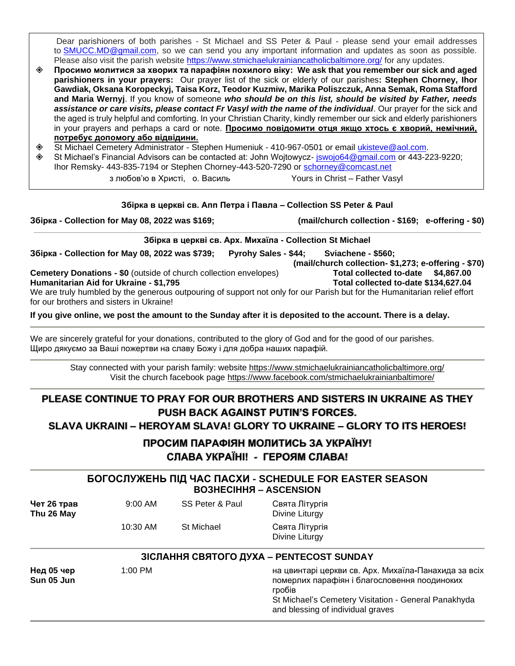Dear parishioners of both parishes - St Michael and SS Peter & Paul - please send your email addresses to [SMUCC.MD@gmail.com,](mailto:SMUCC.MD@gmail.com) so we can send you any important information and updates as soon as possible. Please also visit the parish website <https://www.stmichaelukrainiancatholicbaltimore.org/> for any updates.

- **Просимо молитися за хворих та парафіян похилого віку: We ask that you remember our sick and aged parishioners in your prayers:** Our prayer list of the sick or elderly of our parishes**: Stephen Chorney, Ihor Gawdiak, Oksana Koropeckyj, Taisa Korz, Teodor Kuzmiw, Marika Poliszczuk, Anna Semak, Roma Stafford and Maria Wernyj**. If you know of someone *who should be on this list, should be visited by Father, needs assistance or care visits, please contact Fr Vasyl with the name of the individual*. Our prayer for the sick and the aged is truly helpful and comforting. In your Christian Charity, kindly remember our sick and elderly parishioners in your prayers and perhaps a card or note. **Просимо повідомити отця якщо хтось є хворий, немічний, потребує допомогу або відвідини.**
- St Michael Cemetery Administrator Stephen Humeniuk 410-967-0501 or email [ukisteve@aol.com.](mailto:ukisteve@aol.com)
- St Michael's Financial Advisors can be contacted at: John Wojtowycz- [jswojo64@gmail.com](mailto:jswojo64@gmail.com) or 443-223-9220; Ihor Remsky- 443-835-7194 or Stephen Chorney-443-520-7290 or [schorney@comcast.net](mailto:schorney@comcast.net)

з любов'ю в Христі, о. Василь Yours in Christ – Father Vasyl

#### **Збірка в церкві св. Апп Петра і Павла – Collection SS Peter & Paul**

**Збірка - Collection for May 08, 2022 was \$169; (mail/church collection - \$169; e-offering - \$0)**

**Збірка в церкві св. Арх. Михаїла - Collection St Michael**

**Збірка - Collection for May 08, 2022 was \$739; Pyrohy Sales - \$44; Sviachene - \$560;**

**Cemetery Donations - \$0** (outside of church collection envelopes) **Total collected to-date \$4,867.00**

**Humanitarian Aid for Ukraine - \$1,795 Total collected to-date \$134,627.04**

We are truly humbled by the generous outpouring of support not only for our Parish but for the Humanitarian relief effort for our brothers and sisters in Ukraine!

**If you give online, we post the amount to the Sunday after it is deposited to the account. There is a delay.**

We are sincerely grateful for your donations, contributed to the glory of God and for the good of our parishes. Щиро дякуємо за Ваші пожертви на славу Божу і для добра наших парафій.

Stay connected with your parish family: website <https://www.stmichaelukrainiancatholicbaltimore.org/> Visit the church facebook page <https://www.facebook.com/stmichaelukrainianbaltimore/>

# **PLEASE CONTINUE TO PRAY FOR OUR BROTHERS AND SISTERS IN UKRAINE AS THEY PUSH BACK AGAINST PUTIN'S FORCES.**

**SLAVA UKRAINI – HEROYAM SLAVA! GLORY TO UKRAINE – GLORY TO ITS HEROES!**

**ПРОСИМ ПАРАФІЯН МОЛИТИСЬ ЗА УКРАЇНУ! СЛАВА УКРАЇНІ! - ГЕРОЯМ СЛАВА!**

# **БОГОСЛУЖЕНЬ ПІД ЧАС ПАСХИ - SCHEDULE FOR EASTER SEASON ВОЗНЕСІННЯ – ASCENSION**

| Чет 26 трав<br>Thu 26 May | $9:00$ AM | SS Peter & Paul   | Свята Літургія<br>Divine Liturgy |
|---------------------------|-----------|-------------------|----------------------------------|
|                           | 10:30 AM  | <b>St Michael</b> | Свята Літургія<br>Divine Liturgy |

# **ЗІСЛАННЯ СВЯТОГО ДУХА – PENTECOST SUNDAY**

**Нед 05 чер** 1:00 PM на цвинтарі церкви св. Арх. Михаїла**-**Панахида за всіх **Sun 05 Jun** померлих парафіян і благословення поодиноких гробів St Michael's Cemetery Visitation - General Panakhyda and blessing of individual graves

 **(mail/church collection- \$1,273; e-offering - \$70)**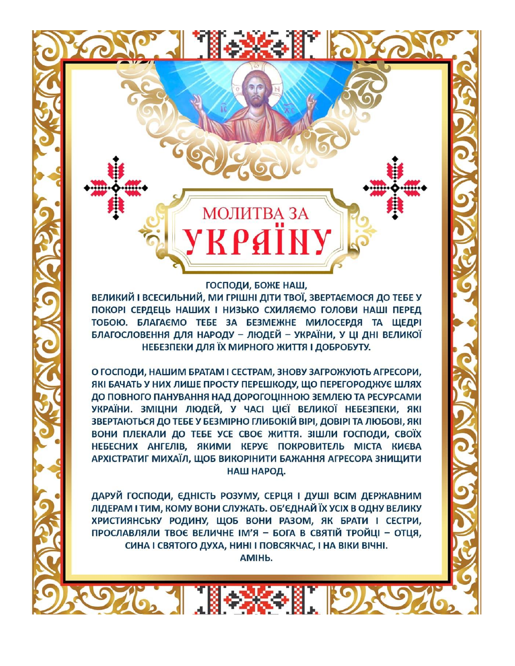# ГОСПОДИ, БОЖЕ НАШ,

**МОЛИТВА ЗА** 

KPAÏN

**PATTESK HISPONE** 

ВЕЛИКИЙ І ВСЕСИЛЬНИЙ, МИ ГРІШНІ ДІТИ ТВОЇ, ЗВЕРТАЄМОСЯ ДО ТЕБЕ У ПОКОРІ СЕРДЕЦЬ НАШИХ І НИЗЬКО СХИЛЯЄМО ГОЛОВИ НАШІ ПЕРЕД ТОБОЮ. БЛАГАЄМО ТЕБЕ ЗА БЕЗМЕЖНЕ МИЛОСЕРДЯ ТА ЩЕДРІ БЛАГОСЛОВЕННЯ ДЛЯ НАРОДУ - ЛЮДЕЙ - УКРАЇНИ, У ЦІ ДНІ ВЕЛИКОЇ НЕБЕЗПЕКИ ДЛЯ ЇХ МИРНОГО ЖИТТЯ І ДОБРОБУТУ.

О ГОСПОДИ, НАШИМ БРАТАМ І СЕСТРАМ, ЗНОВУ ЗАГРОЖУЮТЬ АГРЕСОРИ, ЯКІ БАЧАТЬ У НИХ ЛИШЕ ПРОСТУ ПЕРЕШКОДУ, ЩО ПЕРЕГОРОДЖУЄ ШЛЯХ ДО ПОВНОГО ПАНУВАННЯ НАД ДОРОГОЦІННОЮ ЗЕМЛЕЮ ТА РЕСУРСАМИ УКРАЇНИ. ЗМІЦНИ ЛЮДЕЙ, У ЧАСІ ЦІЄЇ ВЕЛИКОЇ НЕБЕЗПЕКИ, ЯКІ ЗВЕРТАЮТЬСЯ ДО ТЕБЕ У БЕЗМІРНО ГЛИБОКІЙ ВІРІ, ДОВІРІ ТА ЛЮБОВІ, ЯКІ ВОНИ ПЛЕКАЛИ ДО ТЕБЕ УСЕ СВОЄ ЖИТТЯ. ЗІШЛИ ГОСПОДИ, СВОЇХ НЕБЕСНИХ АНГЕЛІВ, ЯКИМИ КЕРУЄ ПОКРОВИТЕЛЬ МІСТА КИЄВА АРХІСТРАТИГ МИХАЇЛ, ЩОБ ВИКОРІНИТИ БАЖАННЯ АГРЕСОРА ЗНИЩИТИ НАШ НАРОД.

ДАРУЙ ГОСПОДИ, ЄДНІСТЬ РОЗУМУ, СЕРЦЯ І ДУШІ ВСІМ ДЕРЖАВНИМ ЛІДЕРАМ І ТИМ, КОМУ ВОНИ СЛУЖАТЬ. ОБ'ЄДНАЙ ЇХ УСІХ В ОДНУ ВЕЛИКУ ХРИСТИЯНСЬКУ РОДИНУ, ЩОБ ВОНИ РАЗОМ, ЯК БРАТИ І СЕСТРИ, ПРОСЛАВЛЯЛИ ТВОЄ ВЕЛИЧНЕ ІМ'Я - БОГА В СВЯТІЙ ТРОЙЦІ - ОТЦЯ, СИНА І СВЯТОГО ДУХА, НИНІ І ПОВСЯКЧАС, І НА ВІКИ ВІЧНІ.

AMIH<sub>b</sub>.

976. 1 1 2 2 1 19 2